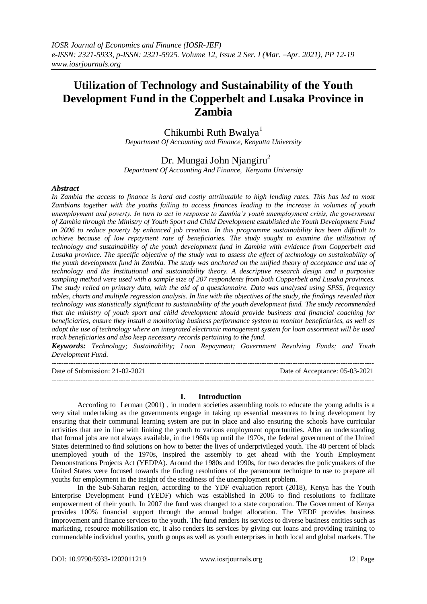# **Utilization of Technology and Sustainability of the Youth Development Fund in the Copperbelt and Lusaka Province in Zambia**

Chikumbi Ruth Bwalya<sup>1</sup> *Department Of Accounting and Finance, Kenyatta University*

Dr. Mungai John Njangiru<sup>2</sup> *Department Of Accounting And Finance, Kenyatta University*

*Abstract*

*In Zambia the access to finance is hard and costly attributable to high lending rates. This has led to most Zambians together with the youths failing to access finances leading to the increase in volumes of youth unemployment and poverty. In turn to act in response to Zambia's youth unemployment crisis, the government of Zambia through the Ministry of Youth Sport and Child Development established the Youth Development Fund in 2006 to reduce poverty by enhanced job creation. In this programme sustainability has been difficult to achieve because of low repayment rate of beneficiaries. The study sought to examine the utilization of technology and sustainability of the youth development fund in Zambia with evidence from Copperbelt and Lusaka province. The specific objective of the study was to assess the effect of technology on sustainability of the youth development fund in Zambia. The study was anchored on the unified theory of acceptance and use of technology and the Institutional and sustainability theory. A descriptive research design and a purposive sampling method were used with a sample size of 207 respondents from both Copperbelt and Lusaka provinces. The study relied on primary data, with the aid of a questionnaire. Data was analysed using SPSS, frequency tables, charts and multiple regression analysis. In line with the objectives of the study, the findings revealed that technology was statistically significant to sustainability of the youth development fund. The study recommended that the ministry of youth sport and child development should provide business and financial coaching for beneficiaries, ensure they install a monitoring business performance system to monitor beneficiaries, as well as adopt the use of technology where an integrated electronic management system for loan assortment will be used track beneficiaries and also keep necessary records pertaining to the fund.*

*Keywords: Technology; Sustainability; Loan Repayment; Government Revolving Funds; and Youth Development Fund.*

Date of Submission: 21-02-2021 Date of Acceptance: 05-03-2021

---------------------------------------------------------------------------------------------------------------------------------------

---------------------------------------------------------------------------------------------------------------------------------------

## **I. Introduction**

According to Lerman (2001) , in modern societies assembling tools to educate the young adults is a very vital undertaking as the governments engage in taking up essential measures to bring development by ensuring that their communal learning system are put in place and also ensuring the schools have curricular activities that are in line with linking the youth to various employment opportunities. After an understanding that formal jobs are not always available, in the 1960s up until the 1970s, the federal government of the United States determined to find solutions on how to better the lives of underprivileged youth. The 40 percent of black unemployed youth of the 1970s, inspired the assembly to get ahead with the Youth Employment Demonstrations Projects Act (YEDPA). Around the 1980s and 1990s, for two decades the policymakers of the United States were focused towards the finding resolutions of the paramount technique to use to prepare all youths for employment in the insight of the steadiness of the unemployment problem.

In the Sub-Saharan region, according to the YDF evaluation report (2018), Kenya has the Youth Enterprise Development Fund (YEDF) which was established in 2006 to find resolutions to facilitate empowerment of their youth. In 2007 the fund was changed to a state corporation. The Government of Kenya provides 100% financial support through the annual budget allocation. The YEDF provides business improvement and finance services to the youth. The fund renders its services to diverse business entities such as marketing, resource mobilisation etc, it also renders its services by giving out loans and providing training to commendable individual youths, youth groups as well as youth enterprises in both local and global markets. The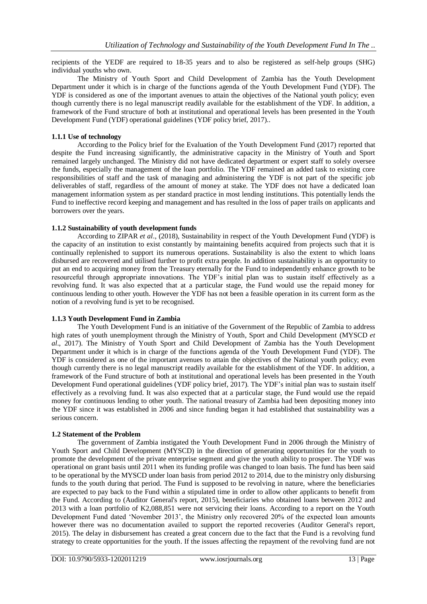recipients of the YEDF are required to 18-35 years and to also be registered as self-help groups (SHG) individual youths who own.

The Ministry of Youth Sport and Child Development of Zambia has the Youth Development Department under it which is in charge of the functions agenda of the Youth Development Fund (YDF). The YDF is considered as one of the important avenues to attain the objectives of the National youth policy; even though currently there is no legal manuscript readily available for the establishment of the YDF. In addition, a framework of the Fund structure of both at institutional and operational levels has been presented in the Youth Development Fund (YDF) operational guidelines (YDF policy brief, 2017)..

## **1.1.1 Use of technology**

According to the Policy brief for the Evaluation of the Youth Development Fund (2017) reported that despite the Fund increasing significantly, the administrative capacity in the Ministry of Youth and Sport remained largely unchanged. The Ministry did not have dedicated department or expert staff to solely oversee the funds, especially the management of the loan portfolio. The YDF remained an added task to existing core responsibilities of staff and the task of managing and administering the YDF is not part of the specific job deliverables of staff, regardless of the amount of money at stake. The YDF does not have a dedicated loan management information system as per standard practice in most lending institutions. This potentially lends the Fund to ineffective record keeping and management and has resulted in the loss of paper trails on applicants and borrowers over the years.

## **1.1.2 Sustainability of youth development funds**

According to ZIPAR *et al*., (2018), Sustainability in respect of the Youth Development Fund (YDF) is the capacity of an institution to exist constantly by maintaining benefits acquired from projects such that it is continually replenished to support its numerous operations. Sustainability is also the extent to which loans disbursed are recovered and utilised further to profit extra people. In addition sustainability is an opportunity to put an end to acquiring money from the Treasury eternally for the Fund to independently enhance growth to be resourceful through appropriate innovations. The YDF's initial plan was to sustain itself effectively as a revolving fund. It was also expected that at a particular stage, the Fund would use the repaid money for continuous lending to other youth. However the YDF has not been a feasible operation in its current form as the notion of a revolving fund is yet to be recognised.

#### **1.1.3 Youth Development Fund in Zambia**

The Youth Development Fund is an initiative of the Government of the Republic of Zambia to address high rates of youth unemployment through the Ministry of Youth, Sport and Child Development (MYSCD *et al*., 2017). The Ministry of Youth Sport and Child Development of Zambia has the Youth Development Department under it which is in charge of the functions agenda of the Youth Development Fund (YDF). The YDF is considered as one of the important avenues to attain the objectives of the National youth policy; even though currently there is no legal manuscript readily available for the establishment of the YDF. In addition, a framework of the Fund structure of both at institutional and operational levels has been presented in the Youth Development Fund operational guidelines (YDF policy brief, 2017). The YDF's initial plan was to sustain itself effectively as a revolving fund. It was also expected that at a particular stage, the Fund would use the repaid money for continuous lending to other youth. The national treasury of Zambia had been depositing money into the YDF since it was established in 2006 and since funding began it had established that sustainability was a serious concern.

#### **1.2 Statement of the Problem**

The government of Zambia instigated the Youth Development Fund in 2006 through the Ministry of Youth Sport and Child Development (MYSCD) in the direction of generating opportunities for the youth to promote the development of the private enterprise segment and give the youth ability to prosper. The YDF was operational on grant basis until 2011 when its funding profile was changed to loan basis. The fund has been said to be operational by the MYSCD under loan basis from period 2012 to 2014, due to the ministry only disbursing funds to the youth during that period. The Fund is supposed to be revolving in nature, where the beneficiaries are expected to pay back to the Fund within a stipulated time in order to allow other applicants to benefit from the Fund. According to (Auditor General's report, 2015), beneficiaries who obtained loans between 2012 and 2013 with a loan portfolio of K2,088,851 were not servicing their loans. According to a report on the Youth Development Fund dated 'November 2013', the Ministry only recovered 20% of the expected loan amounts however there was no documentation availed to support the reported recoveries (Auditor General's report, 2015). The delay in disbursement has created a great concern due to the fact that the Fund is a revolving fund strategy to create opportunities for the youth. If the issues affecting the repayment of the revolving fund are not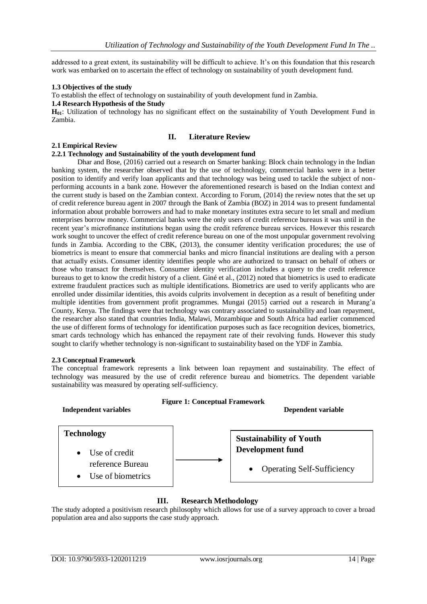addressed to a great extent, its sustainability will be difficult to achieve. It's on this foundation that this research work was embarked on to ascertain the effect of technology on sustainability of youth development fund.

## **1.3 Objectives of the study**

To establish the effect of technology on sustainability of youth development fund in Zambia.

## **1.4 Research Hypothesis of the Study**

**H01**: Utilization of technology has no significant effect on the sustainability of Youth Development Fund in Zambia.

## **II. Literature Review**

## **2.1 Empirical Review**

## **2.2.1 Technology and Sustainability of the youth development fund**

Dhar and Bose, (2016) carried out a research on Smarter banking: Block chain technology in the Indian banking system, the researcher observed that by the use of technology, commercial banks were in a better position to identify and verify loan applicants and that technology was being used to tackle the subject of nonperforming accounts in a bank zone. However the aforementioned research is based on the Indian context and the current study is based on the Zambian context. According to Forum, (2014) the review notes that the set up of credit reference bureau agent in 2007 through the Bank of Zambia (BOZ) in 2014 was to present fundamental information about probable borrowers and had to make monetary institutes extra secure to let small and medium enterprises borrow money. Commercial banks were the only users of credit reference bureaus it was until in the recent year's microfinance institutions began using the credit reference bureau services. However this research work sought to uncover the effect of credit reference bureau on one of the most unpopular government revolving funds in Zambia. According to the CBK, (2013), the consumer identity verification procedures; the use of biometrics is meant to ensure that commercial banks and micro financial institutions are dealing with a person that actually exists. Consumer identity identifies people who are authorized to transact on behalf of others or those who transact for themselves. Consumer identity verification includes a query to the credit reference bureaus to get to know the credit history of a client. Giné et al., (2012) noted that biometrics is used to eradicate extreme fraudulent practices such as multiple identifications. Biometrics are used to verify applicants who are enrolled under dissimilar identities, this avoids culprits involvement in deception as a result of benefiting under multiple identities from government profit programmes. Mungai (2015) carried out a research in Murang'a County, Kenya. The findings were that technology was contrary associated to sustainability and loan repayment, the researcher also stated that countries India, Malawi, Mozambique and South Africa had earlier commenced the use of different forms of technology for identification purposes such as face recognition devices, biometrics, smart cards technology which has enhanced the repayment rate of their revolving funds. However this study sought to clarify whether technology is non-significant to sustainability based on the YDF in Zambia.

#### **2.3 Conceptual Framework**

The conceptual framework represents a link between loan repayment and sustainability. The effect of technology was measured by the use of credit reference bureau and biometrics. The dependent variable sustainability was measured by operating self-sufficiency.



# **III. Research Methodology**

The study adopted a positivism research philosophy which allows for use of a survey approach to cover a broad population area and also supports the case study approach.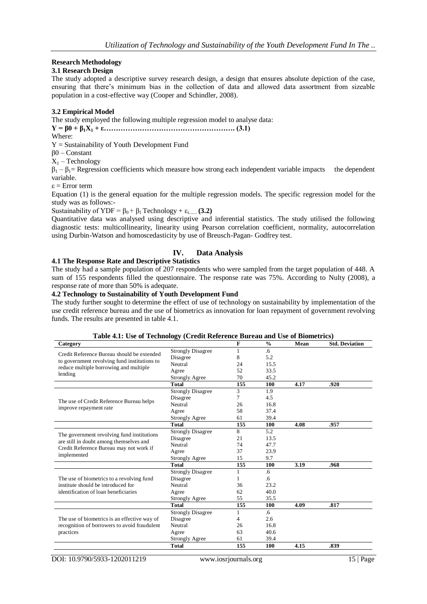## **Research Methodology**

## **3.1 Research Design**

The study adopted a descriptive survey research design, a design that ensures absolute depiction of the case, ensuring that there's minimum bias in the collection of data and allowed data assortment from sizeable population in a cost-effective way (Cooper and Schindler, 2008).

## **3.2 Empirical Model**

The study employed the following multiple regression model to analyse data:

**Y = β0 + β1X<sup>1</sup> + ε………………………………………………. (3.1)**

Where:

Y = Sustainability of Youth Development Fund

β0 – Constant

 $X_1$  – Technology

 $\beta_1 - \beta_1 =$  Regression coefficients which measure how strong each independent variable impacts the dependent variable.

ε = Error term

Equation (1) is the general equation for the multiple regression models. The specific regression model for the study was as follows:-

Sustainability of YDF =  $\beta_0 + \beta_1$  Technology +  $\varepsilon$ <sub>i.....</sub>... **(3.2)** 

Quantitative data was analysed using descriptive and inferential statistics. The study utilised the following diagnostic tests: multicollinearity, linearity using Pearson correlation coefficient, normality, autocorrelation using Durbin-Watson and homoscedasticity by use of Breusch-Pagan- Godfrey test.

## **IV. Data Analysis**

## **4.1 The Response Rate and Descriptive Statistics**

The study had a sample population of 207 respondents who were sampled from the target population of 448. A sum of 155 respondents filled the questionnaire. The response rate was 75%. According to Nulty (2008), a response rate of more than 50% is adequate.

## **4.2 Technology to Sustainability of Youth Development Fund**

The study further sought to determine the effect of use of technology on sustainability by implementation of the use credit reference bureau and the use of biometrics as innovation for loan repayment of government revolving funds. The results are presented in table 4.1.

| Category                                                                           |                          | F   | $\frac{0}{0}$ | Mean | <b>Std. Deviation</b> |
|------------------------------------------------------------------------------------|--------------------------|-----|---------------|------|-----------------------|
| Credit Reference Bureau should be extended                                         | <b>Strongly Disagree</b> |     | .6            |      |                       |
|                                                                                    | Disagree                 | 8   | 5.2           |      |                       |
| to government revolving fund institutions to                                       | Neutral                  | 24  | 15.5          |      |                       |
| reduce multiple borrowing and multiple                                             | Agree                    | 52  | 33.5          |      |                       |
| lending                                                                            | <b>Strongly Agree</b>    | 70  | 45.2          |      |                       |
|                                                                                    | <b>Total</b>             | 155 | 100           | 4.17 | .920                  |
|                                                                                    | <b>Strongly Disagree</b> | 3   | 1.9           |      |                       |
|                                                                                    | Disagree                 | 7   | 4.5           |      |                       |
| The use of Credit Reference Bureau helps                                           | Neutral                  | 26  | 16.8          |      |                       |
| improve repayment rate                                                             | Agree                    | 58  | 37.4          |      |                       |
|                                                                                    | <b>Strongly Agree</b>    | 61  | 39.4          |      |                       |
|                                                                                    | <b>Total</b>             | 155 | 100           | 4.08 | .957                  |
|                                                                                    | <b>Strongly Disagree</b> | 8   | 5.2           |      |                       |
| The government revolving fund institutions                                         | Disagree                 | 21  | 13.5          |      |                       |
| are still in doubt among themselves and<br>Credit Reference Bureau may not work if | Neutral                  | 74  | 47.7          |      |                       |
|                                                                                    | Agree                    | 37  | 23.9          |      |                       |
| implemented                                                                        | Strongly Agree           | 15  | 9.7           |      |                       |
|                                                                                    | <b>Total</b>             | 155 | 100           | 3.19 | .968                  |
|                                                                                    | <b>Strongly Disagree</b> | 1   | .6            |      |                       |
| The use of biometrics to a revolving fund                                          | Disagree                 |     | .6            |      |                       |
| institute should be introduced for                                                 | Neutral                  | 36  | 23.2          |      |                       |
| identification of loan beneficiaries                                               | Agree                    | 62  | 40.0          |      |                       |
|                                                                                    | <b>Strongly Agree</b>    | 55  | 35.5          |      |                       |
|                                                                                    | <b>Total</b>             | 155 | 100           | 4.09 | .817                  |
|                                                                                    | <b>Strongly Disagree</b> | 1   | .6            |      |                       |
| The use of biometrics is an effective way of                                       | Disagree                 | 4   | 2.6           |      |                       |
| recognition of borrowers to avoid fraudulent                                       | Neutral                  | 26  | 16.8          |      |                       |
| practices                                                                          | Agree                    | 63  | 40.6          |      |                       |
|                                                                                    | <b>Strongly Agree</b>    | 61  | 39.4          |      |                       |
|                                                                                    | <b>Total</b>             | 155 | 100           | 4.15 | .839                  |

#### **Table 4.1: Use of Technology (Credit Reference Bureau and Use of Biometrics)**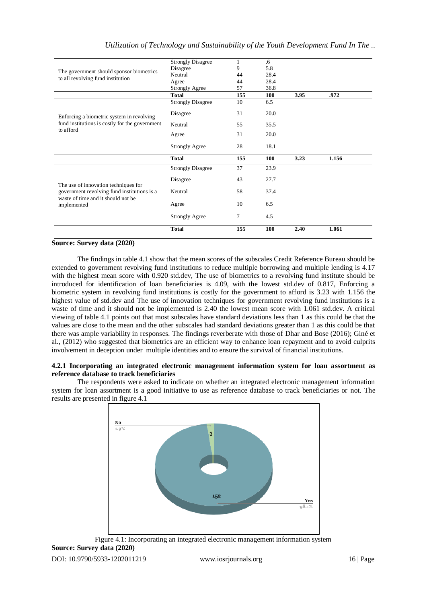|                                                                                     | <b>Strongly Disagree</b> | 1   | .6   |      |       |  |
|-------------------------------------------------------------------------------------|--------------------------|-----|------|------|-------|--|
| The government should sponsor biometrics<br>to all revolving fund institution       | Disagree                 | 9   | 5.8  |      |       |  |
|                                                                                     | Neutral                  | 44  | 28.4 |      |       |  |
|                                                                                     | Agree                    | 44  | 28.4 |      |       |  |
|                                                                                     | <b>Strongly Agree</b>    | 57  | 36.8 |      |       |  |
|                                                                                     | <b>Total</b>             | 155 | 100  | 3.95 | .972  |  |
|                                                                                     | <b>Strongly Disagree</b> | 10  | 6.5  |      |       |  |
| Enforcing a biometric system in revolving                                           | Disagree                 | 31  | 20.0 |      |       |  |
| fund institutions is costly for the government<br>to afford                         | Neutral                  | 55  | 35.5 |      |       |  |
|                                                                                     | Agree                    | 31  | 20.0 |      |       |  |
|                                                                                     | <b>Strongly Agree</b>    | 28  | 18.1 |      |       |  |
|                                                                                     |                          |     |      |      |       |  |
|                                                                                     | <b>Total</b>             | 155 | 100  | 3.23 | 1.156 |  |
|                                                                                     | <b>Strongly Disagree</b> | 37  | 23.9 |      |       |  |
|                                                                                     | Disagree                 | 43  | 27.7 |      |       |  |
| The use of innovation techniques for<br>government revolving fund institutions is a | Neutral                  | 58  | 37.4 |      |       |  |
| waste of time and it should not be<br>implemented                                   | Agree                    | 10  | 6.5  |      |       |  |
|                                                                                     | <b>Strongly Agree</b>    | 7   | 4.5  |      |       |  |

### **Source: Survey data (2020)**

The findings in table 4.1 show that the mean scores of the subscales Credit Reference Bureau should be extended to government revolving fund institutions to reduce multiple borrowing and multiple lending is 4.17 with the highest mean score with 0.920 std.dev, The use of biometrics to a revolving fund institute should be introduced for identification of loan beneficiaries is 4.09, with the lowest std.dev of 0.817, Enforcing a biometric system in revolving fund institutions is costly for the government to afford is 3.23 with 1.156 the highest value of std.dev and The use of innovation techniques for government revolving fund institutions is a waste of time and it should not be implemented is 2.40 the lowest mean score with 1.061 std.dev. A critical viewing of table 4.1 points out that most subscales have standard deviations less than 1 as this could be that the values are close to the mean and the other subscales had standard deviations greater than 1 as this could be that there was ample variability in responses. The findings reverberate with those of Dhar and Bose (2016); Giné et al., (2012) who suggested that biometrics are an efficient way to enhance loan repayment and to avoid culprits involvement in deception under multiple identities and to ensure the survival of financial institutions.

### **4.2.1 Incorporating an integrated electronic management information system for loan assortment as reference database to track beneficiaries**

The respondents were asked to indicate on whether an integrated electronic management information system for loan assortment is a good initiative to use as reference database to track beneficiaries or not. The results are presented in figure 4.1



Figure 4.1: Incorporating an integrated electronic management information system **Source: Survey data (2020)**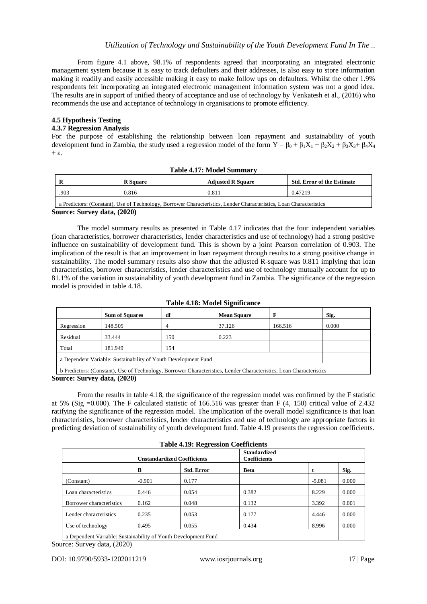From figure 4.1 above, 98.1% of respondents agreed that incorporating an integrated electronic management system because it is easy to track defaulters and their addresses, is also easy to store information making it readily and easily accessible making it easy to make follow ups on defaulters. Whilst the other 1.9% respondents felt incorporating an integrated electronic management information system was not a good idea. The results are in support of unified theory of acceptance and use of technology by Venkatesh et al., (2016) who recommends the use and acceptance of technology in organisations to promote efficiency.

## **4.5 Hypothesis Testing**

## **4.3.7 Regression Analysis**

For the purpose of establishing the relationship between loan repayment and sustainability of youth development fund in Zambia, the study used a regression model of the form  $Y = \beta_0 + \beta_1 X_1 + \beta_2 X_2 + \beta_3 X_3 + \beta_4 X_4$  $+$  ε.

| - R  | <b>R</b> Square | <b>Adjusted R Square</b> | <b>Std. Error of the Estimate</b> |  |
|------|-----------------|--------------------------|-----------------------------------|--|
| .903 | 0.816           | 0.81                     | 0.47219                           |  |

**Table 4.17: Model Summary**

a Predictors: (Constant), Use of Technology, Borrower Characteristics, Lender Characteristics, Loan Characteristics **Source: Survey data, (2020)**

The model summary results as presented in Table 4.17 indicates that the four independent variables (loan characteristics, borrower characteristics, lender characteristics and use of technology) had a strong positive influence on sustainability of development fund. This is shown by a joint Pearson correlation of 0.903. The implication of the result is that an improvement in loan repayment through results to a strong positive change in sustainability. The model summary results also show that the adjusted R-square was 0.811 implying that loan characteristics, borrower characteristics, lender characteristics and use of technology mutually account for up to 81.1% of the variation in sustainability of youth development fund in Zambia. The significance of the regression model is provided in table 4.18.

|                                                                                                                           | <b>Sum of Squares</b> | df  | <b>Mean Square</b> |         | Sig.  |
|---------------------------------------------------------------------------------------------------------------------------|-----------------------|-----|--------------------|---------|-------|
| Regression                                                                                                                | 148.505               | 4   | 37.126             | 166.516 | 0.000 |
| Residual                                                                                                                  | 33.444                | 150 | 0.223              |         |       |
| Total                                                                                                                     | 181.949               | 154 |                    |         |       |
| a Dependent Variable: Sustainability of Youth Development Fund                                                            |                       |     |                    |         |       |
| 1. David strate (Cranstrate) The effective Legal Democratic Chronical extents Terribule Control of the Chronical strategy |                       |     |                    |         |       |

**Table 4.18: Model Significance**

b Predictors: (Constant), Use of Technology, Borrower Characteristics, Lender Characteristics, Loan Characteristics **Source: Survey data, (2020)**

From the results in table 4.18, the significance of the regression model was confirmed by the F statistic at 5% (Sig  $=0.000$ ). The F calculated statistic of 166.516 was greater than F (4, 150) critical value of 2.432 ratifying the significance of the regression model. The implication of the overall model significance is that loan characteristics, borrower characteristics, lender characteristics and use of technology are appropriate factors in predicting deviation of sustainability of youth development fund. Table 4.19 presents the regression coefficients.

|  |  | <b>Table 4.19: Regression Coefficients</b> |
|--|--|--------------------------------------------|
|--|--|--------------------------------------------|

|                                                                 | <b>Unstandardized Coefficients</b> |                   | <b>Standardized</b><br><b>Coefficients</b> |          |       |
|-----------------------------------------------------------------|------------------------------------|-------------------|--------------------------------------------|----------|-------|
|                                                                 | B                                  | <b>Std. Error</b> | <b>Beta</b>                                |          | Sig.  |
| (Constant)                                                      | $-0.901$                           | 0.177             |                                            | $-5.081$ | 0.000 |
| Loan characteristics                                            | 0.446                              | 0.054             | 0.382                                      | 8.229    | 0.000 |
| Borrower characteristics                                        | 0.162                              | 0.048             | 0.132                                      | 3.392    | 0.001 |
| Lender characteristics                                          | 0.235                              | 0.053             | 0.177                                      | 4.446    | 0.000 |
| Use of technology                                               | 0.495                              | 0.055             | 0.434                                      | 8.996    | 0.000 |
| a Danandant Vanjahlar Gratainahility of Varyth Davalanmant Frud |                                    |                   |                                            |          |       |

a Dependent Variable: Sustainability of Youth Development Fund Source: Survey data, (2020)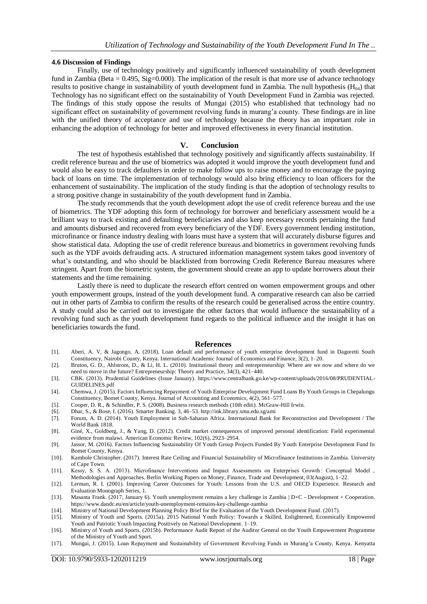#### **4.6 Discussion of Findings**

Finally, use of technology positively and significantly influenced sustainability of youth development fund in Zambia (Beta =  $0.495$ , Sig=0.000). The implication of the result is that more use of advance technology results to positive change in sustainability of youth development fund in Zambia. The null hypothesis  $(H<sub>04</sub>)$  that Technology has no significant effect on the sustainability of Youth Development Fund in Zambia was rejected. The findings of this study oppose the results of Mungai (2015) who established that technology had no significant effect on sustainability of government revolving funds in murang'a county. These findings are in line with the unified theory of acceptance and use of technology because the theory has an important role in enhancing the adoption of technology for better and improved effectiveness in every financial institution.

## **V. Conclusion**

The test of hypothesis established that technology positively and significantly affects sustainability. If credit reference bureau and the use of biometrics was adopted it would improve the youth development fund and would also be easy to track defaulters in order to make follow ups to raise money and to encourage the paying back of loans on time. The implementation of technology would also bring efficiency to loan officers for the enhancement of sustainability. The implication of the study finding is that the adoption of technology results to a strong positive change in sustainability of the youth development fund in Zambia.

The study recommends that the youth development adopt the use of credit reference bureau and the use of biometrics. The YDF adopting this form of technology for borrower and beneficiary assessment would be a brilliant way to track existing and defaulting beneficiaries and also keep necessary records pertaining the fund and amounts disbursed and recovered from every beneficiary of the YDF. Every government lending institution, microfinance or finance industry dealing with loans must have a system that will accurately disburse figures and show statistical data. Adopting the use of credit reference bureaus and biometrics in government revolving funds such as the YDF avoids defrauding acts. A structured information management system takes good inventory of what's outstanding, and who should be blacklisted from borrowing Credit Reference Bureau measures where stringent. Apart from the biometric system, the government should create an app to update borrowers about their statements and the time remaining.

Lastly there is need to duplicate the research effort centred on women empowerment groups and other youth empowerment groups, instead of the youth development fund. A comparative research can also be carried out in other parts of Zambia to confirm the results of the research could be generalised across the entire country. A study could also be carried out to investigate the other factors that would influence the sustainability of a revolving fund such as the youth development fund regards to the political influence and the insight it has on beneficiaries towards the fund.

#### **References**

- [1]. Aberi, A. V, & Jagongo, A. (2018). Loan default and performance of youth enterprise development fund in Dagoretti South Constituency, Nairobi County, Kenya. International Academic Journal of Economics and Finance, 3(2), 1–20.
- [2]. Bruton, G. D., Ahlstrom, D., & Li, H. L. (2010). Institutional theory and entrepreneurship: Where are we now and where do we need to move in the future? Entrepreneurship: Theory and Practice, 34(3), 421–440.
- [3]. CBK. (2013). Prudential Guidelines (Issue January). https://www.centralbank.go.ke/wp-content/uploads/2016/08/PRUDENTIAL-GUIDELINES.pdf
- [4]. Chemwa, J. (2015). Factors Influencing Repayment of Youth Enterprise Development Fund Loans By Youth Groups in Chepalungu Constituency, Bomet County, Kenya. Journal of Accounting and Economics, 4(2), 561–577.
- [5]. Cooper, D. R., & Schindler, P. S. (2008). Business research methods (10th editi). McGraw-Hill Irwin.
- [6]. Dhar, S., & Bose, I. (2016). Smarter Banking. 3, 46–53. http://ink.library.smu.edu.sg/ami
- [7]. Forum, A. D. (2014). Youth Employment in Sub-Saharan Africa. International Bank for Reconstruction and Development / The World Bank 1818.
- [8]. Giné, X., Goldberg, J., & Yang, D. (2012). Credit market consequences of improved personal identification: Field experimental evidence from malawi. American Economic Review, 102(6), 2923–2954.
- [9]. Jassor, M. (2016). Factors Influencing Sustainability Of Youth Group Projects Funded By Youth Enterprise Development Fund In Bomet County, Kenya.
- [10]. Kambole Christopher. (2017). Interest Rate Ceiling and Financial Sustainability of Microfinance Institutions in Zambia. University of Cape Town.
- [11]. Kessy, S. S. A. (2013). Microfinance Interventions and Impact Assessments on Enterprises Growth : Conceptual Model , Methodologies and Approaches. Berlin Working Papers on Money, Finance, Trade and Development, 03(August), 1–22.
- [12]. Lerman, R. I. (2001). Improving Career Outcomes for Youth: Lessons from the U.S. and OECD Experience. Research and Evaluation Monograph Series, 1.
- [13]. Masanta Frank. (2017, January 6). Youth unemployment remains a key challenge in Zambia | D+C Development + Cooperation. https://www.dandc.eu/en/article/youth-unemployment-remains-key-challenge-zambia
- [14]. Ministry of National Development Planning Policy Brief for the Evaluation of the Youth Development Fund. (2017).
- [15]. Ministry of Youth and Sports. (2015a). 2015 National Youth Policy: Towards a Skilled, Enlightened, Econmically Empowered Youth and Patriotic Youth Impacting Positively on National Development. 1–19.
- [16]. Ministry of Youth and Sports. (2015b). Performance Audit Report of the Auditor General on the Youth Empowerment Programme of the Ministry of Youth and Sport.
- [17]. Mungai, J. (2015). Loan Repayment and Sustainability of Government Revolving Funds in Murang'a County, Kenya. Kenyatta